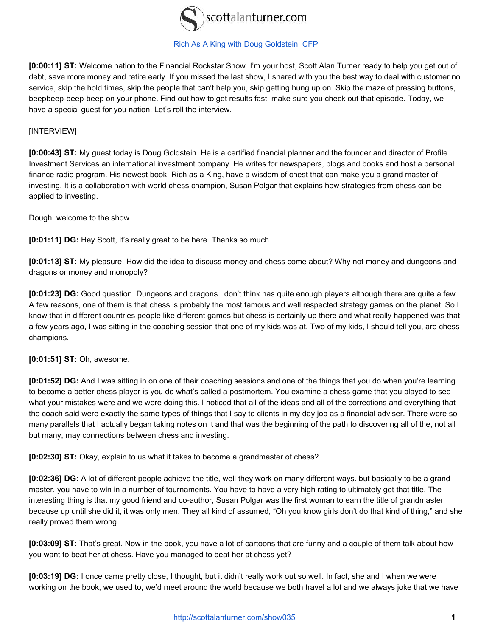

## [Rich As A King with Doug Goldstein, CFP](http://scottalanturner.com/show035)

**[0:00:11] ST:** Welcome nation to the Financial Rockstar Show. I'm your host, Scott Alan Turner ready to help you get out of debt, save more money and retire early. If you missed the last show, I shared with you the best way to deal with customer no service, skip the hold times, skip the people that can't help you, skip getting hung up on. Skip the maze of pressing buttons, beepbeep-beep-beep on your phone. Find out how to get results fast, make sure you check out that episode. Today, we have a special guest for you nation. Let's roll the interview.

## [INTERVIEW]

**[0:00:43] ST:** My guest today is Doug Goldstein. He is a certified financial planner and the founder and director of Profile Investment Services an international investment company. He writes for newspapers, blogs and books and host a personal finance radio program. His newest book, Rich as a King, have a wisdom of chest that can make you a grand master of investing. It is a collaboration with world chess champion, Susan Polgar that explains how strategies from chess can be applied to investing.

Dough, welcome to the show.

**[0:01:11] DG:** Hey Scott, it's really great to be here. Thanks so much.

**[0:01:13] ST:** My pleasure. How did the idea to discuss money and chess come about? Why not money and dungeons and dragons or money and monopoly?

**[0:01:23] DG:** Good question. Dungeons and dragons I don't think has quite enough players although there are quite a few. A few reasons, one of them is that chess is probably the most famous and well respected strategy games on the planet. So I know that in different countries people like different games but chess is certainly up there and what really happened was that a few years ago, I was sitting in the coaching session that one of my kids was at. Two of my kids, I should tell you, are chess champions.

**[0:01:51] ST:** Oh, awesome.

**[0:01:52] DG:** And I was sitting in on one of their coaching sessions and one of the things that you do when you're learning to become a better chess player is you do what's called a postmortem. You examine a chess game that you played to see what your mistakes were and we were doing this. I noticed that all of the ideas and all of the corrections and everything that the coach said were exactly the same types of things that I say to clients in my day job as a financial adviser. There were so many parallels that I actually began taking notes on it and that was the beginning of the path to discovering all of the, not all but many, may connections between chess and investing.

**[0:02:30] ST:** Okay, explain to us what it takes to become a grandmaster of chess?

**[0:02:36] DG:** A lot of different people achieve the title, well they work on many different ways. but basically to be a grand master, you have to win in a number of tournaments. You have to have a very high rating to ultimately get that title. The interesting thing is that my good friend and co-author, Susan Polgar was the first woman to earn the title of grandmaster because up until she did it, it was only men. They all kind of assumed, "Oh you know girls don't do that kind of thing," and she really proved them wrong.

**[0:03:09] ST:** That's great. Now in the book, you have a lot of cartoons that are funny and a couple of them talk about how you want to beat her at chess. Have you managed to beat her at chess yet?

**[0:03:19] DG:** I once came pretty close, I thought, but it didn't really work out so well. In fact, she and I when we were working on the book, we used to, we'd meet around the world because we both travel a lot and we always joke that we have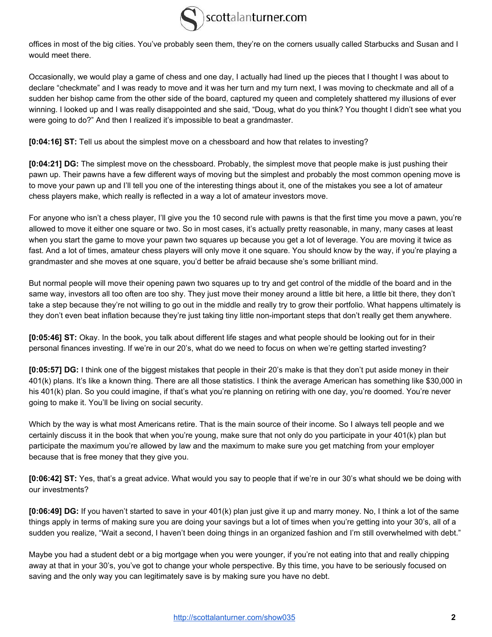

offices in most of the big cities. You've probably seen them, they're on the corners usually called Starbucks and Susan and I would meet there.

Occasionally, we would play a game of chess and one day, I actually had lined up the pieces that I thought I was about to declare "checkmate" and I was ready to move and it was her turn and my turn next, I was moving to checkmate and all of a sudden her bishop came from the other side of the board, captured my queen and completely shattered my illusions of ever winning. I looked up and I was really disappointed and she said, "Doug, what do you think? You thought I didn't see what you were going to do?" And then I realized it's impossible to beat a grandmaster.

**[0:04:16] ST:** Tell us about the simplest move on a chessboard and how that relates to investing?

**[0:04:21] DG:** The simplest move on the chessboard. Probably, the simplest move that people make is just pushing their pawn up. Their pawns have a few different ways of moving but the simplest and probably the most common opening move is to move your pawn up and I'll tell you one of the interesting things about it, one of the mistakes you see a lot of amateur chess players make, which really is reflected in a way a lot of amateur investors move.

For anyone who isn't a chess player, I'll give you the 10 second rule with pawns is that the first time you move a pawn, you're allowed to move it either one square or two. So in most cases, it's actually pretty reasonable, in many, many cases at least when you start the game to move your pawn two squares up because you get a lot of leverage. You are moving it twice as fast. And a lot of times, amateur chess players will only move it one square. You should know by the way, if you're playing a grandmaster and she moves at one square, you'd better be afraid because she's some brilliant mind.

But normal people will move their opening pawn two squares up to try and get control of the middle of the board and in the same way, investors all too often are too shy. They just move their money around a little bit here, a little bit there, they don't take a step because they're not willing to go out in the middle and really try to grow their portfolio. What happens ultimately is they don't even beat inflation because they're just taking tiny little non-important steps that don't really get them anywhere.

**[0:05:46] ST:** Okay. In the book, you talk about different life stages and what people should be looking out for in their personal finances investing. If we're in our 20's, what do we need to focus on when we're getting started investing?

**[0:05:57] DG:** I think one of the biggest mistakes that people in their 20's make is that they don't put aside money in their 401(k) plans. It's like a known thing. There are all those statistics. I think the average American has something like \$30,000 in his 401(k) plan. So you could imagine, if that's what you're planning on retiring with one day, you're doomed. You're never going to make it. You'll be living on social security.

Which by the way is what most Americans retire. That is the main source of their income. So I always tell people and we certainly discuss it in the book that when you're young, make sure that not only do you participate in your 401(k) plan but participate the maximum you're allowed by law and the maximum to make sure you get matching from your employer because that is free money that they give you.

**[0:06:42] ST:** Yes, that's a great advice. What would you say to people that if we're in our 30's what should we be doing with our investments?

**[0:06:49] DG:** If you haven't started to save in your 401(k) plan just give it up and marry money. No, I think a lot of the same things apply in terms of making sure you are doing your savings but a lot of times when you're getting into your 30's, all of a sudden you realize, "Wait a second, I haven't been doing things in an organized fashion and I'm still overwhelmed with debt."

Maybe you had a student debt or a big mortgage when you were younger, if you're not eating into that and really chipping away at that in your 30's, you've got to change your whole perspective. By this time, you have to be seriously focused on saving and the only way you can legitimately save is by making sure you have no debt.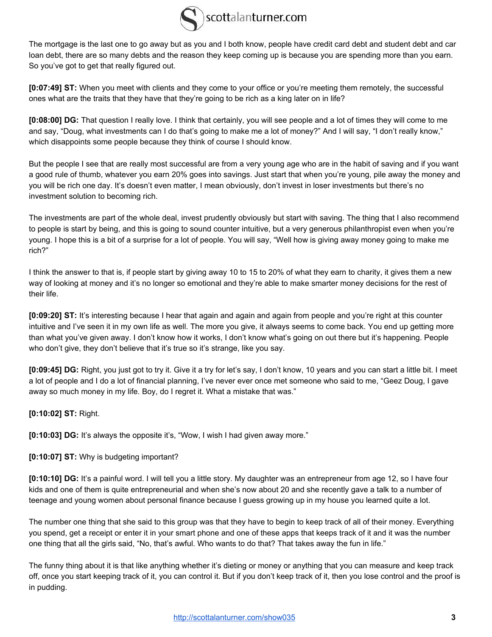

The mortgage is the last one to go away but as you and I both know, people have credit card debt and student debt and car loan debt, there are so many debts and the reason they keep coming up is because you are spending more than you earn. So you've got to get that really figured out.

**[0:07:49] ST:** When you meet with clients and they come to your office or you're meeting them remotely, the successful ones what are the traits that they have that they're going to be rich as a king later on in life?

**[0:08:00] DG:** That question I really love. I think that certainly, you will see people and a lot of times they will come to me and say, "Doug, what investments can I do that's going to make me a lot of money?" And I will say, "I don't really know," which disappoints some people because they think of course I should know.

But the people I see that are really most successful are from a very young age who are in the habit of saving and if you want a good rule of thumb, whatever you earn 20% goes into savings. Just start that when you're young, pile away the money and you will be rich one day. It's doesn't even matter, I mean obviously, don't invest in loser investments but there's no investment solution to becoming rich.

The investments are part of the whole deal, invest prudently obviously but start with saving. The thing that I also recommend to people is start by being, and this is going to sound counter intuitive, but a very generous philanthropist even when you're young. I hope this is a bit of a surprise for a lot of people. You will say, "Well how is giving away money going to make me rich?"

I think the answer to that is, if people start by giving away 10 to 15 to 20% of what they earn to charity, it gives them a new way of looking at money and it's no longer so emotional and they're able to make smarter money decisions for the rest of their life.

**[0:09:20] ST:** It's interesting because I hear that again and again and again from people and you're right at this counter intuitive and I've seen it in my own life as well. The more you give, it always seems to come back. You end up getting more than what you've given away. I don't know how it works, I don't know what's going on out there but it's happening. People who don't give, they don't believe that it's true so it's strange, like you say.

**[0:09:45] DG:** Right, you just got to try it. Give it a try for let's say, I don't know, 10 years and you can start a little bit. I meet a lot of people and I do a lot of financial planning, I've never ever once met someone who said to me, "Geez Doug, I gave away so much money in my life. Boy, do I regret it. What a mistake that was."

## **[0:10:02] ST:** Right.

**[0:10:03] DG:** It's always the opposite it's, "Wow, I wish I had given away more."

## **[0:10:07] ST:** Why is budgeting important?

**[0:10:10] DG:** It's a painful word. I will tell you a little story. My daughter was an entrepreneur from age 12, so I have four kids and one of them is quite entrepreneurial and when she's now about 20 and she recently gave a talk to a number of teenage and young women about personal finance because I guess growing up in my house you learned quite a lot.

The number one thing that she said to this group was that they have to begin to keep track of all of their money. Everything you spend, get a receipt or enter it in your smart phone and one of these apps that keeps track of it and it was the number one thing that all the girls said, "No, that's awful. Who wants to do that? That takes away the fun in life."

The funny thing about it is that like anything whether it's dieting or money or anything that you can measure and keep track off, once you start keeping track of it, you can control it. But if you don't keep track of it, then you lose control and the proof is in pudding.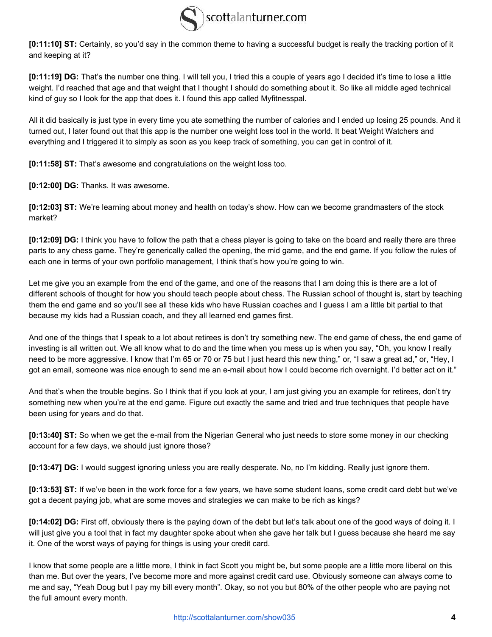

**[0:11:10] ST:** Certainly, so you'd say in the common theme to having a successful budget is really the tracking portion of it and keeping at it?

**[0:11:19] DG:** That's the number one thing. I will tell you, I tried this a couple of years ago I decided it's time to lose a little weight. I'd reached that age and that weight that I thought I should do something about it. So like all middle aged technical kind of guy so I look for the app that does it. I found this app called Myfitnesspal.

All it did basically is just type in every time you ate something the number of calories and I ended up losing 25 pounds. And it turned out, I later found out that this app is the number one weight loss tool in the world. It beat Weight Watchers and everything and I triggered it to simply as soon as you keep track of something, you can get in control of it.

**[0:11:58] ST:** That's awesome and congratulations on the weight loss too.

**[0:12:00] DG:** Thanks. It was awesome.

**[0:12:03] ST:** We're learning about money and health on today's show. How can we become grandmasters of the stock market?

**[0:12:09] DG:** I think you have to follow the path that a chess player is going to take on the board and really there are three parts to any chess game. They're generically called the opening, the mid game, and the end game. If you follow the rules of each one in terms of your own portfolio management, I think that's how you're going to win.

Let me give you an example from the end of the game, and one of the reasons that I am doing this is there are a lot of different schools of thought for how you should teach people about chess. The Russian school of thought is, start by teaching them the end game and so you'll see all these kids who have Russian coaches and I guess I am a little bit partial to that because my kids had a Russian coach, and they all learned end games first.

And one of the things that I speak to a lot about retirees is don't try something new. The end game of chess, the end game of investing is all written out. We all know what to do and the time when you mess up is when you say, "Oh, you know I really need to be more aggressive. I know that I'm 65 or 70 or 75 but I just heard this new thing," or, "I saw a great ad," or, "Hey, I got an email, someone was nice enough to send me an e-mail about how I could become rich overnight. I'd better act on it."

And that's when the trouble begins. So I think that if you look at your, I am just giving you an example for retirees, don't try something new when you're at the end game. Figure out exactly the same and tried and true techniques that people have been using for years and do that.

**[0:13:40] ST:** So when we get the e-mail from the Nigerian General who just needs to store some money in our checking account for a few days, we should just ignore those?

**[0:13:47] DG:** I would suggest ignoring unless you are really desperate. No, no I'm kidding. Really just ignore them.

**[0:13:53] ST:** If we've been in the work force for a few years, we have some student loans, some credit card debt but we've got a decent paying job, what are some moves and strategies we can make to be rich as kings?

**[0:14:02] DG:** First off, obviously there is the paying down of the debt but let's talk about one of the good ways of doing it. I will just give you a tool that in fact my daughter spoke about when she gave her talk but I guess because she heard me say it. One of the worst ways of paying for things is using your credit card.

I know that some people are a little more, I think in fact Scott you might be, but some people are a little more liberal on this than me. But over the years, I've become more and more against credit card use. Obviously someone can always come to me and say, "Yeah Doug but I pay my bill every month". Okay, so not you but 80% of the other people who are paying not the full amount every month.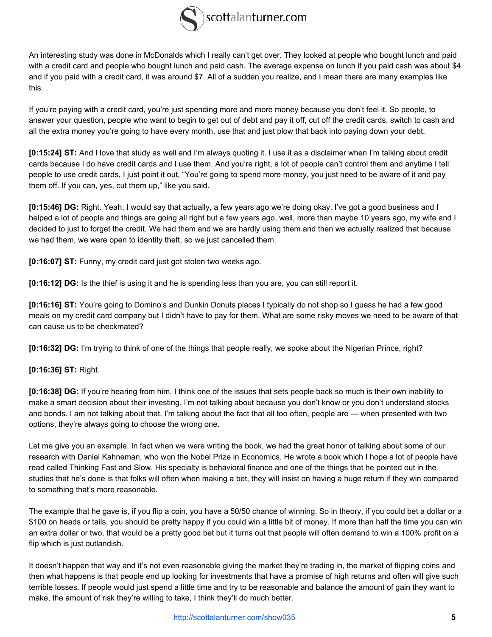

An interesting study was done in McDonalds which I really can't get over. They looked at people who bought lunch and paid with a credit card and people who bought lunch and paid cash. The average expense on lunch if you paid cash was about \$4 and if you paid with a credit card, it was around \$7. All of a sudden you realize, and I mean there are many examples like this.

If you're paying with a credit card, you're just spending more and more money because you don't feel it. So people, to answer your question, people who want to begin to get out of debt and pay it off, cut off the credit cards, switch to cash and all the extra money you're going to have every month, use that and just plow that back into paying down your debt.

**[0:15:24] ST:** And I love that study as well and I'm always quoting it. I use it as a disclaimer when I'm talking about credit cards because I do have credit cards and I use them. And you're right, a lot of people can't control them and anytime I tell people to use credit cards, I just point it out, "You're going to spend more money, you just need to be aware of it and pay them off. If you can, yes, cut them up," like you said.

**[0:15:46] DG:** Right. Yeah, I would say that actually, a few years ago we're doing okay. I've got a good business and I helped a lot of people and things are going all right but a few years ago, well, more than maybe 10 years ago, my wife and I decided to just to forget the credit. We had them and we are hardly using them and then we actually realized that because we had them, we were open to identity theft, so we just cancelled them.

**[0:16:07] ST:** Funny, my credit card just got stolen two weeks ago.

**[0:16:12] DG:** Is the thief is using it and he is spending less than you are, you can still report it.

**[0:16:16] ST:** You're going to Domino's and Dunkin Donuts places I typically do not shop so I guess he had a few good meals on my credit card company but I didn't have to pay for them. What are some risky moves we need to be aware of that can cause us to be checkmated?

**[0:16:32] DG:** I'm trying to think of one of the things that people really, we spoke about the Nigerian Prince, right?

**[0:16:36] ST:** Right.

**[0:16:38] DG:** If you're hearing from him, I think one of the issues that sets people back so much is their own inability to make a smart decision about their investing. I'm not talking about because you don't know or you don't understand stocks and bonds. I am not talking about that. I'm talking about the fact that all too often, people are — when presented with two options, they're always going to choose the wrong one.

Let me give you an example. In fact when we were writing the book, we had the great honor of talking about some of our research with Daniel Kahneman, who won the Nobel Prize in Economics. He wrote a book which I hope a lot of people have read called Thinking Fast and Slow. His specialty is behavioral finance and one of the things that he pointed out in the studies that he's done is that folks will often when making a bet, they will insist on having a huge return if they win compared to something that's more reasonable.

The example that he gave is, if you flip a coin, you have a 50/50 chance of winning. So in theory, if you could bet a dollar or a \$100 on heads or tails, you should be pretty happy if you could win a little bit of money. If more than half the time you can win an extra dollar or two, that would be a pretty good bet but it turns out that people will often demand to win a 100% profit on a flip which is just outlandish.

It doesn't happen that way and it's not even reasonable giving the market they're trading in, the market of flipping coins and then what happens is that people end up looking for investments that have a promise of high returns and often will give such terrible losses. If people would just spend a little time and try to be reasonable and balance the amount of gain they want to make, the amount of risk they're willing to take, I think they'll do much better.